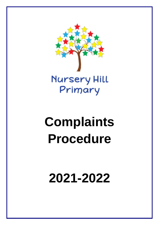

# **Complaints Procedure**

**2021-2022**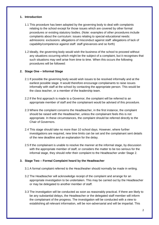## **1. Introduction**

- 1.1 This procedure has been adopted by the governing body to deal with complaints relating to the school except for those issues which are covered by other formal procedures or existing statutory bodies. (Note: examples of other procedures include complaints about the curriculum: issues relating to special educational needs: admissions: exclusions: allegations of misconduct against staff: allegations of lack of capability/competence against staff: staff grievances and so forth)
- 1.2 Ideally, the governing body would wish the business of the school to proceed without any situations occurring which might be the subject of a complaint, but it recognises that such situations may well arise from time to time. When this occurs the following procedures will be followed:

# **2. Stage One – Informal Stage**

- 2.1 If possible the governing body would wish issues to be resolved informally and at the earliest possible stage. It would therefore encourage complainants to raise issues informally with staff at the school by contacting the appropriate person. This would be the class teacher, or a member of the leadership team.
- 2.2 If the first approach is made to a Governor, the complaint will be referred to an appropriate member of staff and the complainant would be advised of this procedure.
- 2.3 Where the complaint concerns the Headteacher, in the first instance, the complaint should be raised with the Headteacher, unless the complainant feels this is not appropriate. In these circumstances, the complaint should be referred directly to the Chair of Governors.
- 2.4 This stage should take no more than 10 school days. However, where further investigations are required, new time limits can be set and the complainant sent details of the new deadline and an explanation for the delay.
- 2.5 If the complainant is unable to resolve the manner at the informal stage, by discussion with the appropriate member of staff, or considers the matter to be too serious for the informal stage, they should refer their complaint to the Headteacher under Stage 2.

### **3. Stage Two – Formal Complaint heard by the Headteacher**

- 3.1 A formal complaint referred to the Heactheaher should normally be made in writing.
- 3.2 The Headteacher will acknowledge receipt of the complaint and arrange for an appropriate investigation to be undertaken. This may be carried out by the Headteacher or may be delegated to another member of staff.
- 3.3 The investigation will be conducted as soon as reasonably practical. If there are likely to be any substantial delays, the Headteacher or the delegated staff member will inform the complainant of the progress. The investigation will be conducted with a view to establishing all relevant information, will be non-adversarial and will be impartial. This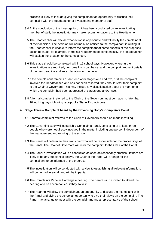process is likely to include giving the complainant an opportunity to discuss their complaint with the Headteacher or investigating member of staff.

- 3.4 At the conclusion of the investigation, if it has been conducted by an investigating member of staff, the investigator may make recommendations to the Headteacher.
- 3.5 The Headteacher will decide what action is appropriate and will notify the complainant of their decision. The decision will normally be notified to the complainant in writing. If the Headteacher is unable to inform the complainant of some aspects of the proposed action because, for example, there is a requirement of confidentiality, the Headteacher will explain the situation to the complainant.
- 3.6 This stage should be completed within 15 school days. However, where further investigations are required, new time limits can be set and the complainant sent details of the new deadline and an explanation for the delay.
- 3.7 If the complainant remains dissatisfied after stages one and two, or if the complaint involves the Headteacher, and has not been resolved, they should refer their complaint to the Chair of Governors. This may include any dissatisfaction about the manner in which the complaint had been addressed at stages one and/or two.
- 3.8 A formal complaint referred to the Chair of the Governors must be made no later than 10 working days following receipt of a Stage Two outcome.

### **4. Stage Three – Complaint heard by the Governing Body's Complaints Panel**

- 4.1 A formal complaint referred to the Chair of Governors should be made in writing.
- 4.2 The Governing Body will establish a Complaints Panel, consisting of at least three people who were not directly involved in the matter including one person independent of the management and running of the school.
- 4.3 The Panel will determine their own chair who will be responsible for the proceedings of the Panel. The Chair of Governors will refer the complaint to the Chair of the Panel.
- 4.4 The Panel's investigation will be conducted as soon as reasonably practical. If there are likely to be any substantial delays, the Chair of the Panel will arrange for the complainant to be informed of the progress.
- 4.5 The investigation will be conducted with a view to establishing all relevant information: will be non-adversarial: and will be impartial.
- 4.6 The Complaints Panel will arrange a hearing. The parent will be invited to attend the hearing and be accompanied, if they so wish.
- 4.7 The Hearing will allow the complainant an opportunity to discuss their complaint with the Panel and giving the school an opportunity to give their views on the complaint. The Panel may arrange to meet with the complainant and a representative of the school